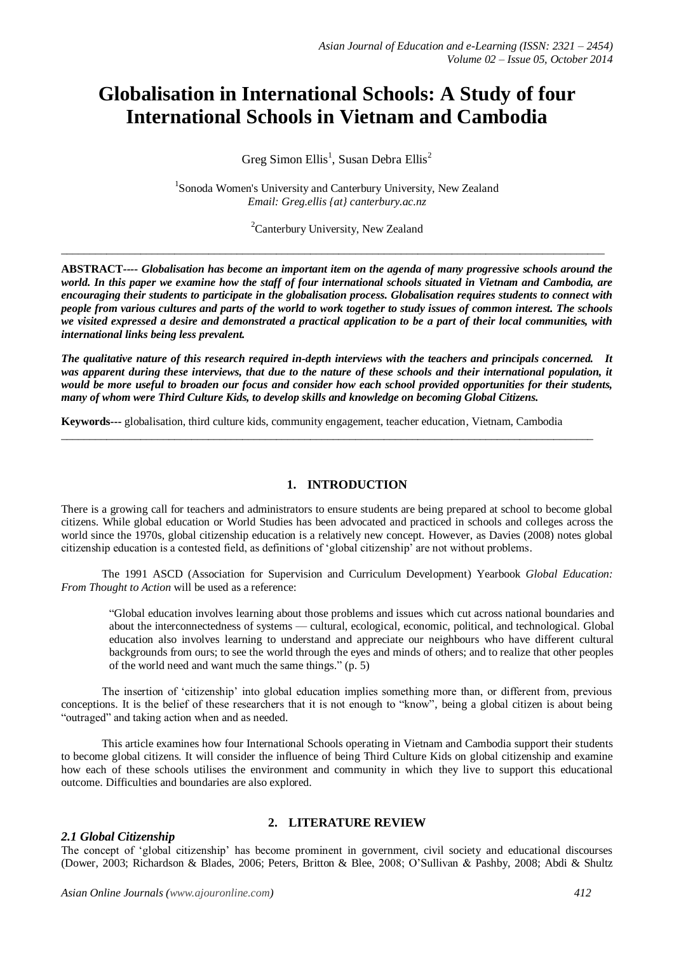# **Globalisation in International Schools: A Study of four International Schools in Vietnam and Cambodia**

Greg Simon Ellis<sup>1</sup>, Susan Debra Ellis<sup>2</sup>

<sup>1</sup>Sonoda Women's University and Canterbury University, New Zealand *Email: Greg.ellis {at} canterbury.ac.nz*

 ${}^{2}$ Canterbury University, New Zealand

 $\_$  ,  $\_$  ,  $\_$  ,  $\_$  ,  $\_$  ,  $\_$  ,  $\_$  ,  $\_$  ,  $\_$  ,  $\_$  ,  $\_$  ,  $\_$  ,  $\_$  ,  $\_$  ,  $\_$  ,  $\_$  ,  $\_$  ,  $\_$  ,  $\_$  ,  $\_$  ,  $\_$  ,  $\_$  ,  $\_$  ,  $\_$  ,  $\_$  ,  $\_$  ,  $\_$  ,  $\_$  ,  $\_$  ,  $\_$  ,  $\_$  ,  $\_$  ,  $\_$  ,  $\_$  ,  $\_$  ,  $\_$  ,  $\_$  ,

**ABSTRACT***---- Globalisation has become an important item on the agenda of many progressive schools around the world. In this paper we examine how the staff of four international schools situated in Vietnam and Cambodia, are encouraging their students to participate in the globalisation process. Globalisation requires students to connect with people from various cultures and parts of the world to work together to study issues of common interest. The schools we visited expressed a desire and demonstrated a practical application to be a part of their local communities, with international links being less prevalent.* 

*The qualitative nature of this research required in-depth interviews with the teachers and principals concerned. It*  was apparent during these interviews, that due to the nature of these schools and their international population, it *would be more useful to broaden our focus and consider how each school provided opportunities for their students, many of whom were Third Culture Kids, to develop skills and knowledge on becoming Global Citizens.* 

**Keywords---** globalisation, third culture kids, community engagement, teacher education, Vietnam, Cambodia

 $\_$  ,  $\_$  ,  $\_$  ,  $\_$  ,  $\_$  ,  $\_$  ,  $\_$  ,  $\_$  ,  $\_$  ,  $\_$  ,  $\_$  ,  $\_$  ,  $\_$  ,  $\_$  ,  $\_$  ,  $\_$  ,  $\_$  ,  $\_$  ,  $\_$  ,  $\_$  ,  $\_$  ,  $\_$  ,  $\_$  ,  $\_$  ,  $\_$  ,  $\_$  ,  $\_$  ,  $\_$  ,  $\_$  ,  $\_$  ,  $\_$  ,  $\_$  ,  $\_$  ,  $\_$  ,  $\_$  ,  $\_$  ,  $\_$  ,

## **1. INTRODUCTION**

There is a growing call for teachers and administrators to ensure students are being prepared at school to become global citizens. While global education or World Studies has been advocated and practiced in schools and colleges across the world since the 1970s, global citizenship education is a relatively new concept. However, as Davies (2008) notes global citizenship education is a contested field, as definitions of 'global citizenship' are not without problems.

The 1991 ASCD (Association for Supervision and Curriculum Development) Yearbook *Global Education: From Thought to Action* will be used as a reference:

"Global education involves learning about those problems and issues which cut across national boundaries and about the interconnectedness of systems — cultural, ecological, economic, political, and technological. Global education also involves learning to understand and appreciate our neighbours who have different cultural backgrounds from ours; to see the world through the eyes and minds of others; and to realize that other peoples of the world need and want much the same things." (p. 5)

The insertion of 'citizenship' into global education implies something more than, or different from, previous conceptions. It is the belief of these researchers that it is not enough to "know", being a global citizen is about being "outraged" and taking action when and as needed.

This article examines how four International Schools operating in Vietnam and Cambodia support their students to become global citizens. It will consider the influence of being Third Culture Kids on global citizenship and examine how each of these schools utilises the environment and community in which they live to support this educational outcome. Difficulties and boundaries are also explored.

## *2.1 Global Citizenship*

# **2. LITERATURE REVIEW**

The concept of 'global citizenship' has become prominent in government, civil society and educational discourses (Dower, 2003; Richardson & Blades, 2006; Peters, Britton & Blee, 2008; O'Sullivan & Pashby, 2008; Abdi & Shultz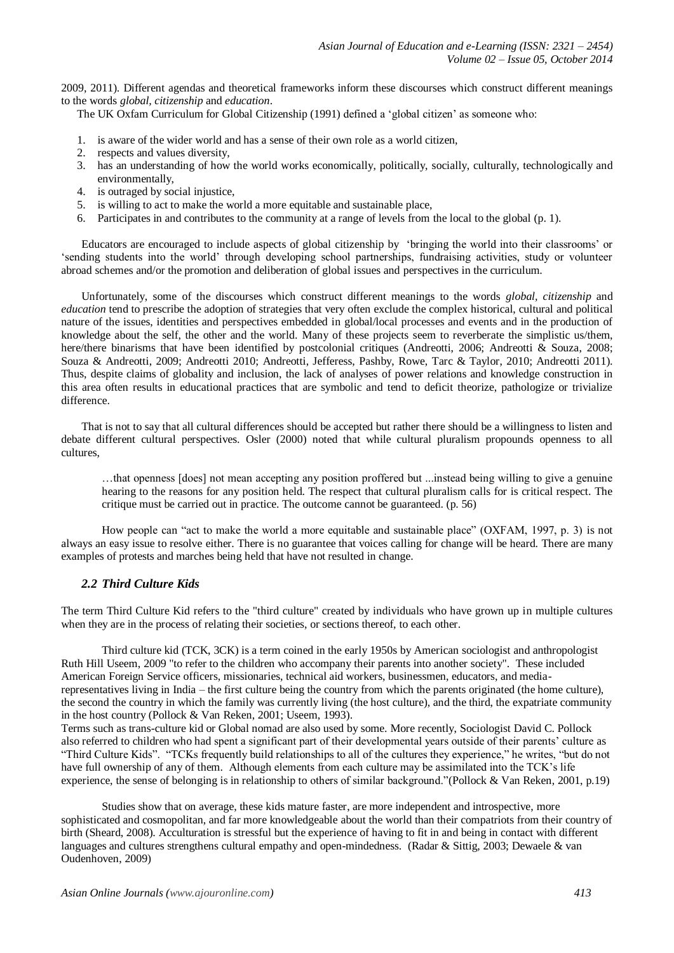2009, 2011). Different agendas and theoretical frameworks inform these discourses which construct different meanings to the words *global, citizenship* and *education*.

The UK Oxfam Curriculum for Global Citizenship (1991) defined a 'global citizen' as someone who:

- 1. is aware of the wider world and has a sense of their own role as a world citizen,
- 2. respects and values diversity,
- 3. has an understanding of how the world works economically, politically, socially, culturally, technologically and environmentally,
- 4. is outraged by social injustice,
- 5. is willing to act to make the world a more equitable and sustainable place,
- 6. Participates in and contributes to the community at a range of levels from the local to the global (p. 1).

Educators are encouraged to include aspects of global citizenship by 'bringing the world into their classrooms' or 'sending students into the world' through developing school partnerships, fundraising activities, study or volunteer abroad schemes and/or the promotion and deliberation of global issues and perspectives in the curriculum.

Unfortunately, some of the discourses which construct different meanings to the words *global, citizenship* and *education* tend to prescribe the adoption of strategies that very often exclude the complex historical, cultural and political nature of the issues, identities and perspectives embedded in global/local processes and events and in the production of knowledge about the self, the other and the world. Many of these projects seem to reverberate the simplistic us/them, here/there binarisms that have been identified by postcolonial critiques (Andreotti, 2006; Andreotti & Souza, 2008; Souza & Andreotti, 2009; Andreotti 2010; Andreotti, Jefferess, Pashby, Rowe, Tarc & Taylor, 2010; Andreotti 2011). Thus, despite claims of globality and inclusion, the lack of analyses of power relations and knowledge construction in this area often results in educational practices that are symbolic and tend to deficit theorize, pathologize or trivialize difference.

That is not to say that all cultural differences should be accepted but rather there should be a willingness to listen and debate different cultural perspectives. Osler (2000) noted that while cultural pluralism propounds openness to all cultures,

…that openness [does] not mean accepting any position proffered but ...instead being willing to give a genuine hearing to the reasons for any position held. The respect that cultural pluralism calls for is critical respect. The critique must be carried out in practice. The outcome cannot be guaranteed. (p. 56)

How people can "act to make the world a more equitable and sustainable place" (OXFAM, 1997, p. 3) is not always an easy issue to resolve either. There is no guarantee that voices calling for change will be heard. There are many examples of protests and marches being held that have not resulted in change.

# *2.2 Third Culture Kids*

The term Third Culture Kid refers to the "third culture" created by individuals who have grown up in multiple cultures when they are in the process of relating their societies, or sections thereof, to each other.

Third culture kid (TCK, 3CK) is a term coined in the early 1950s by America[n sociologist](http://en.wikipedia.org/wiki/Sociologist) an[d anthropologist](http://en.wikipedia.org/wiki/Anthropologist) [Ruth Hill Useem,](http://en.wikipedia.org/wiki/Ruth_Hill_Useem) 2009 "to refer to the children who accompany their parents into another society". These included American Foreign Service officers, missionaries, technical aid workers, businessmen, educators, and mediarepresentatives living in India – the first culture being the country from which the parents originated (the home culture), the second the country in which the family was currently living (the host culture), and the third, the expatriate community in the host country (Pollock & [Van Reken, 2001;](http://www.sciencedirect.com.ezproxy.canterbury.ac.nz/science/article/pii/S0147176712000971#bib0095) [Useem, 1993\)](http://www.sciencedirect.com.ezproxy.canterbury.ac.nz/science/article/pii/S0147176712000971#bib0150).

Terms such as trans-culture kid or [Global nomad](http://en.wikipedia.org/wiki/Global_nomad) are also used by some. More recently, Sociologist David C. Pollock also referred to children who had spent a significant part of their developmental years outside of their parents' culture as "Third Culture Kids". "TCKs frequently build relationships to all of the cultures they experience," he writes, "but do not have full ownership of any of them. Although elements from each culture may be assimilated into the TCK's life experience, the sense of belonging is in relationship to others of similar background."(Pollock & Van Reken, 2001, p.19)

Studies show that on average, these kids mature faster, are more independent and introspective, more sophisticated and cosmopolitan, and far more knowledgeable about the world than their compatriots from their country of birth [\(Sheard,](http://www.sciencedirect.com.ezproxy.canterbury.ac.nz/science/article/pii/S0147176712000971#bib0120) 2008). Acculturation is stressful but the experience of having to fit in and being in contact with different languages and cultures strengthens cultural empathy and open-mindedness. (Radar & Sittig, 2003; Dewaele & van Oudenhoven, 2009)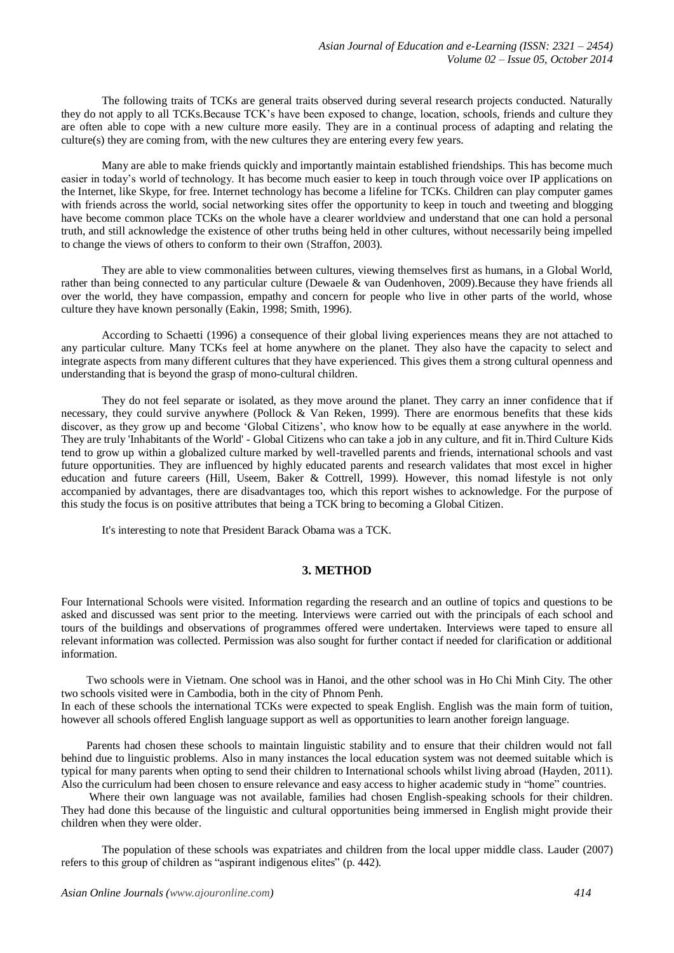The following traits of TCKs are general traits observed during several research projects conducted. Naturally they do not apply to all TCKs.Because TCK's have been exposed to change, location, schools, friends and culture they are often able to cope with a new culture more easily. They are in a continual process of adapting and relating the culture(s) they are coming from, with the new cultures they are entering every few years.

Many are able to make friends quickly and importantly maintain established friendships. This has become much easier in today's world of technology. It has become much easier to keep in touch through voice over IP applications on the Internet, like Skype, for free. Internet technology has become a lifeline for TCKs. Children can play computer games with friends across the world, social networking sites offer the opportunity to keep in touch and tweeting and blogging have become common place TCKs on the whole have a clearer worldview and understand that one can hold a personal truth, and still acknowledge the existence of other truths being held in other cultures, without necessarily being impelled to change the views of others to conform to their own [\(Straffon,](http://www.sciencedirect.com.ezproxy.canterbury.ac.nz/science/article/pii/S0147176712000971#bib0140) 2003).

They are able to view commonalities between cultures, viewing themselves first as humans, in a Global World, rather than being connected to any particular culture (Dewaele & van [Oudenhoven,](http://www.sciencedirect.com.ezproxy.canterbury.ac.nz/science/article/pii/S0147176712000971#bib0015) 2009).Because they have friends all over the world, they have compassion, empathy and concern for people who live in other parts of the world, whose culture they have known personally (Eakin, 1998; [Smith,](http://www.sciencedirect.com.ezproxy.canterbury.ac.nz/science/article/pii/S0147176712000971#bib0135) 1996).

According to Schaetti (1996) a consequence of their global living experiences means they are not attached to any particular culture. Many TCKs feel at home anywhere on the planet. They also have the capacity to select and integrate aspects from many different cultures that they have experienced. This gives them a strong cultural openness and understanding that is beyond the grasp of mono-cultural children.

They do not feel separate or isolated, as they move around the planet. They carry an inner confidence that if necessary, they could survive anywhere (Pollock & Van Reken, 1999). There are enormous benefits that these kids discover, as they grow up and become 'Global Citizens', who know how to be equally at ease anywhere in the world. They are truly 'Inhabitants of the World' - Global Citizens who can take a job in any culture, and fit in.Third Culture Kids tend to grow up within a globalized culture marked by well-travelled parents and friends, international schools and vast future opportunities. They are influenced by highly educated parents and research validates that most excel in higher education and future careers (Hill, Useem, Baker & Cottrell, 1999). However, this nomad lifestyle is not only accompanied by advantages, there are disadvantages too, which this report wishes to acknowledge. For the purpose of this study the focus is on positive attributes that being a TCK bring to becoming a Global Citizen.

It's interesting to note that President Barack Obama was a TCK.

# **3. METHOD**

Four International Schools were visited. Information regarding the research and an outline of topics and questions to be asked and discussed was sent prior to the meeting. Interviews were carried out with the principals of each school and tours of the buildings and observations of programmes offered were undertaken. Interviews were taped to ensure all relevant information was collected. Permission was also sought for further contact if needed for clarification or additional information.

 Two schools were in Vietnam. One school was in Hanoi, and the other school was in Ho Chi Minh City. The other two schools visited were in Cambodia, both in the city of Phnom Penh. In each of these schools the international TCKs were expected to speak English. English was the main form of tuition, however all schools offered English language support as well as opportunities to learn another foreign language.

 Parents had chosen these schools to maintain linguistic stability and to ensure that their children would not fall behind due to linguistic problems. Also in many instances the local education system was not deemed suitable which is typical for many parents when opting to send their children to International schools whilst living abroad (Hayden, 2011). Also the curriculum had been chosen to ensure relevance and easy access to higher academic study in "home" countries.

 Where their own language was not available, families had chosen English-speaking schools for their children. They had done this because of the linguistic and cultural opportunities being immersed in English might provide their children when they were older.

The population of these schools was [expatriates](http://en.wikipedia.org/wiki/Expatriate) and children from the local upper middle class. Lauder (2007) refers to this group of children as "aspirant indigenous elites" (p. 442).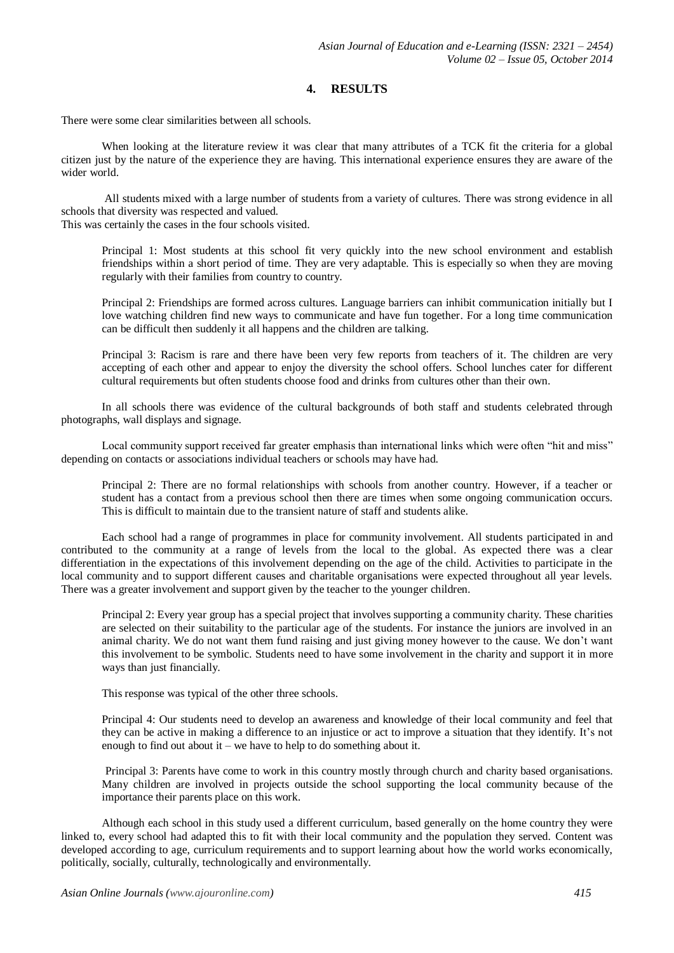# **4. RESULTS**

There were some clear similarities between all schools.

When looking at the literature review it was clear that many attributes of a TCK fit the criteria for a global citizen just by the nature of the experience they are having. This international experience ensures they are aware of the wider world.

All students mixed with a large number of students from a variety of cultures. There was strong evidence in all schools that diversity was respected and valued.

This was certainly the cases in the four schools visited.

Principal 1: Most students at this school fit very quickly into the new school environment and establish friendships within a short period of time. They are very adaptable. This is especially so when they are moving regularly with their families from country to country.

Principal 2: Friendships are formed across cultures. Language barriers can inhibit communication initially but I love watching children find new ways to communicate and have fun together. For a long time communication can be difficult then suddenly it all happens and the children are talking.

Principal 3: Racism is rare and there have been very few reports from teachers of it. The children are very accepting of each other and appear to enjoy the diversity the school offers. School lunches cater for different cultural requirements but often students choose food and drinks from cultures other than their own.

In all schools there was evidence of the cultural backgrounds of both staff and students celebrated through photographs, wall displays and signage.

Local community support received far greater emphasis than international links which were often "hit and miss" depending on contacts or associations individual teachers or schools may have had.

Principal 2: There are no formal relationships with schools from another country. However, if a teacher or student has a contact from a previous school then there are times when some ongoing communication occurs. This is difficult to maintain due to the transient nature of staff and students alike.

Each school had a range of programmes in place for community involvement. All students participated in and contributed to the community at a range of levels from the local to the global. As expected there was a clear differentiation in the expectations of this involvement depending on the age of the child. Activities to participate in the local community and to support different causes and charitable organisations were expected throughout all year levels. There was a greater involvement and support given by the teacher to the younger children.

Principal 2: Every year group has a special project that involves supporting a community charity. These charities are selected on their suitability to the particular age of the students. For instance the juniors are involved in an animal charity. We do not want them fund raising and just giving money however to the cause. We don't want this involvement to be symbolic. Students need to have some involvement in the charity and support it in more ways than just financially.

This response was typical of the other three schools.

Principal 4: Our students need to develop an awareness and knowledge of their local community and feel that they can be active in making a difference to an injustice or act to improve a situation that they identify. It's not enough to find out about it – we have to help to do something about it.

Principal 3: Parents have come to work in this country mostly through church and charity based organisations. Many children are involved in projects outside the school supporting the local community because of the importance their parents place on this work.

Although each school in this study used a different curriculum, based generally on the home country they were linked to, every school had adapted this to fit with their local community and the population they served. Content was developed according to age, curriculum requirements and to support learning about how the world works economically, politically, socially, culturally, technologically and environmentally.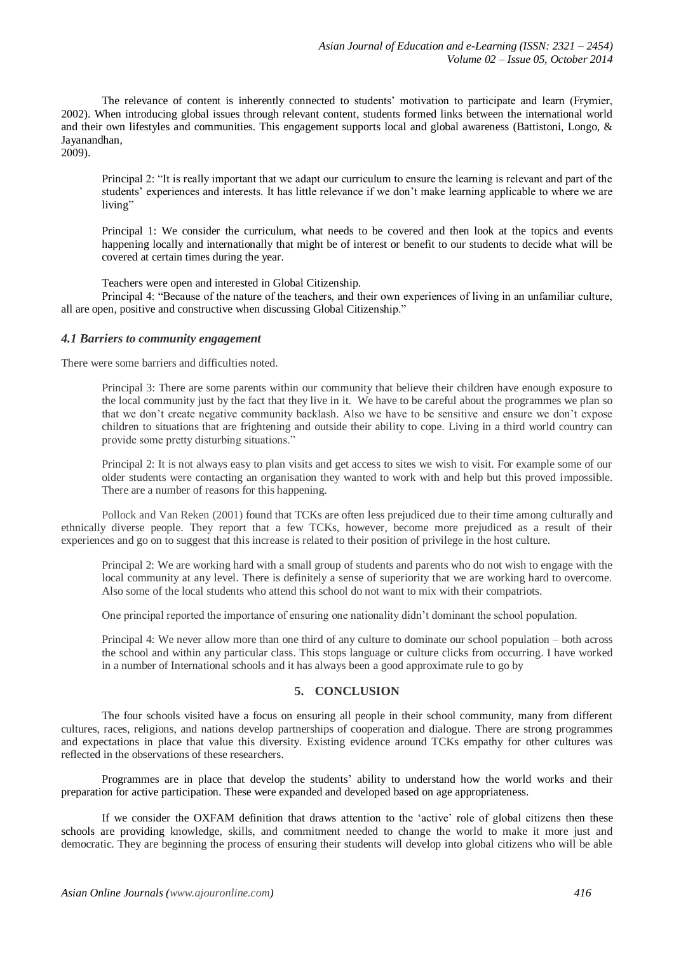The relevance of content is inherently connected to students' motivation to participate and learn (Frymier, 2002). When introducing global issues through relevant content, students formed links between the international world and their own lifestyles and communities. This engagement supports local and global awareness (Battistoni, Longo, & Jayanandhan,

2009).

Principal 2: "It is really important that we adapt our curriculum to ensure the learning is relevant and part of the students' experiences and interests. It has little relevance if we don't make learning applicable to where we are living"

Principal 1: We consider the curriculum, what needs to be covered and then look at the topics and events happening locally and internationally that might be of interest or benefit to our students to decide what will be covered at certain times during the year.

Teachers were open and interested in Global Citizenship.

Principal 4: "Because of the nature of the teachers, and their own experiences of living in an unfamiliar culture, all are open, positive and constructive when discussing Global Citizenship."

## *4.1 Barriers to community engagement*

There were some barriers and difficulties noted.

Principal 3: There are some parents within our community that believe their children have enough exposure to the local community just by the fact that they live in it. We have to be careful about the programmes we plan so that we don't create negative community backlash. Also we have to be sensitive and ensure we don't expose children to situations that are frightening and outside their ability to cope. Living in a third world country can provide some pretty disturbing situations."

Principal 2: It is not always easy to plan visits and get access to sites we wish to visit. For example some of our older students were contacting an organisation they wanted to work with and help but this proved impossible. There are a number of reasons for this happening.

[Pollock](http://www.sciencedirect.com.ezproxy.canterbury.ac.nz/science/article/pii/S0147176712000971#bib0095) and Van Reken (2001) found that TCKs are often less prejudiced due to their time among culturally and ethnically diverse people. They report that a few TCKs, however, become more prejudiced as a result of their experiences and go on to suggest that this increase is related to their position of privilege in the host culture.

Principal 2: We are working hard with a small group of students and parents who do not wish to engage with the local community at any level. There is definitely a sense of superiority that we are working hard to overcome. Also some of the local students who attend this school do not want to mix with their compatriots.

One principal reported the importance of ensuring one nationality didn't dominant the school population.

Principal 4: We never allow more than one third of any culture to dominate our school population – both across the school and within any particular class. This stops language or culture clicks from occurring. I have worked in a number of International schools and it has always been a good approximate rule to go by

# **5. CONCLUSION**

The four schools visited have a focus on ensuring all people in their school community, many from different cultures, races, religions, and nations develop partnerships of cooperation and dialogue. There are strong programmes and expectations in place that value this diversity. Existing evidence around TCKs empathy for other cultures was reflected in the observations of these researchers.

Programmes are in place that develop the students' ability to understand how the world works and their preparation for active participation. These were expanded and developed based on age appropriateness.

If we consider the OXFAM definition that draws attention to the 'active' role of global citizens then these schools are providing knowledge, skills, and commitment needed to change the world to make it more just and democratic. They are beginning the process of ensuring their students will develop into global citizens who will be able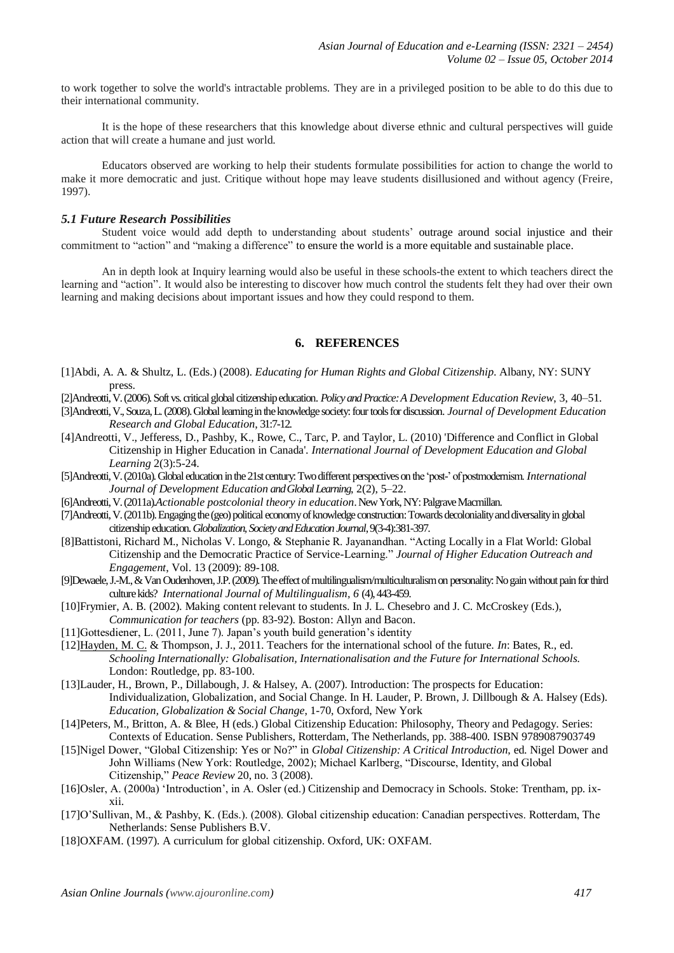to work together to solve the world's intractable problems. They are in a privileged position to be able to do this due to their international community.

It is the hope of these researchers that this knowledge about diverse ethnic and cultural perspectives will guide action that will create a humane and just world.

Educators observed are working to help their students formulate possibilities for action to change the world to make it more democratic and just. Critique without hope may leave students disillusioned and without agency (Freire, 1997).

#### *5.1 Future Research Possibilities*

Student voice would add depth to understanding about students' outrage around social injustice and their commitment to "action" and "making a difference" to ensure the world is a more equitable and sustainable place.

An in depth look at Inquiry learning would also be useful in these schools-the extent to which teachers direct the learning and "action". It would also be interesting to discover how much control the students felt they had over their own learning and making decisions about important issues and how they could respond to them.

## **6. REFERENCES**

- [1]Abdi, A. A. & Shultz, L. (Eds.) (2008). *[Educating for Human Rights and Global Citizenship](https://http/books.google.ca/books?hl=en&lr=&id=NGyDQrJVYv8C&oi=fnd&pg=PA81&dq=educating+for+human+rights+and+global+citizenship&ots=ag0yolBn6S&sig=1ZPVfBj4zRcnlTa6_pZasNwLXEM#v=onepage&q&f=false)*. Albany, NY: SUNY press.
- [2]Andreotti, V. (2006). Soft vs. critical global citizenship education. *Policy and Practice: A Development Education Review*, 3, 40–51.
- [3]Andreotti, V., Souza, L. (2008). Global learning in the knowledge society: four tools for discussion. *Journal of Development Education Research and Global Education*, 31:7-12.
- [4]Andreotti, V., Jefferess, D., Pashby, K., Rowe, C., Tarc, P. and Taylor, L. (2010) 'Difference and Conflict in Global Citizenship in Higher Education in Canada'. *International Journal of Development Education and Global Learning* 2(3):5-24.
- [5]Andreotti, V. (2010a). Global education in the 21st century: Two different perspectives on the 'post-' of postmodernism. *International Journal of Development Education andGlobal Learning*, 2(2), 5–22.
- [6]Andreotti, V. (2011a).*Actionable postcolonial theory in education*. New York, NY: PalgraveMacmillan.
- [7]Andreotti, V. (2011b). Engaging the (geo) political economy of knowledge construction: Towardsdecoloniality and diversality in global citizenship education.*Globalization, Society and Education Journal*, 9(3-4):381-397.
- [8]Battistoni, Richard M., Nicholas V. Longo, & Stephanie R. Jayanandhan. "Acting Locally in a Flat World: Global Citizenship and the Democratic Practice of Service-Learning." *Journal of Higher Education Outreach and Engagement*, Vol. 13 (2009): 89-108.
- [9]Dewaele, J.-M., & Van Oudenhoven, J.P. (2009). The effect of multilingualism/multiculturalism on personality: No gain without pain for third culture kids? *International Journal of Multilingualism, 6* (4), 443-459.
- [10]Frymier, A. B. (2002). Making content relevant to students. In J. L. Chesebro and J. C. McCroskey (Eds.), *Communication for teachers* (pp. 83-92). Boston: Allyn and Bacon.
- [11]Gottesdiener, L. (2011, June 7). Japan's youth build generation's identity
- [12[\]Hayden, M. C.](http://www.bath.ac.uk/view/person_id/391.html) & Thompson, J. J., 2011[. Teachers for the international school of the future.](http://opus.bath.ac.uk/24139/) *In*: Bates, R., ed. *Schooling Internationally: Globalisation, Internationalisation and the Future for International Schools.* London: Routledge, pp. 83-100.
- [13]Lauder, H., Brown, P., Dillabough, J. & Halsey, A. (2007). Introduction: The prospects for Education: Individualization, Globalization, and Social Change. In H. Lauder, P. Brown, J. Dillbough & A. Halsey (Eds). *Education, Globalization & Social Change*, 1-70, Oxford, New York
- [14]Peters, M., Britton, A. & Blee, H (eds.) Global Citizenship Education: Philosophy, Theory and Pedagogy. Series: Contexts of Education. Sense Publishers, Rotterdam, The Netherlands, pp. 388-400. ISBN 9789087903749
- [15]Nigel Dower, "Global Citizenship: Yes or No?" in *Global Citizenship: A Critical Introduction*, ed. Nigel Dower and John Williams (New York: Routledge, 2002); Michael Karlberg, "Discourse, Identity, and Global Citizenship," *Peace Review* 20, no. 3 (2008).
- [16]Osler, A. (2000a) 'Introduction', in A. Osler (ed.) Citizenship and Democracy in Schools. Stoke: Trentham, pp. ixxii.
- [17]O'Sullivan, M., & Pashby, K. (Eds.). (2008). Global citizenship education: Canadian perspectives. Rotterdam, The Netherlands: Sense Publishers B.V.
- [18]OXFAM. (1997). A curriculum for global citizenship. Oxford, UK: OXFAM.